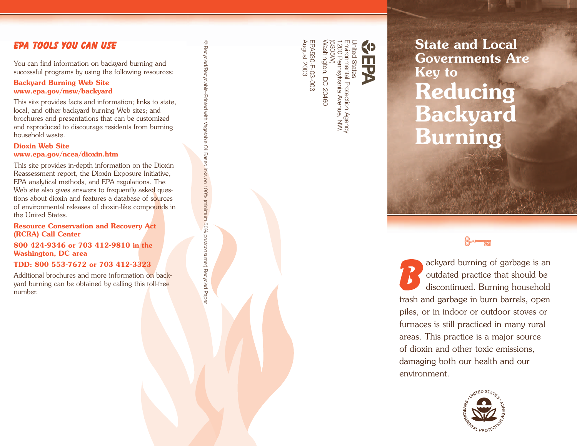## EPA Tools You Can Use

You can find information on backyard burning and successful programs by using the following resources:

### **Backyard Burning Web Site www.epa.gov/msw/backyard**

This site provides facts and information; links to state, local, and other backyard burning Web sites; and brochures and presentations that can be customized and reproduced to discourage residents from burning household waste.

### **Dioxin Web Site www.epa.gov/ncea/dioxin.htm**

This site provides in-depth information on the Dioxin Reassessment report, the Dioxin Exposure Initiative, EPA analytical methods, and EPA regulations. The Web site also gives answers to frequently asked questions about dioxin and features a database of sources of environmental releases of dioxin-like compounds in the United States.

⊕ Recycled/Recyclable-Printed with Vegetable Oil Based Inks on 100% (minimum 50% postconsumer) Recycled Papeia Recycled/Recyclable–Printed with Vegetable Oil Based Inks on 100% (minimum 50% postconsumer) Recycled Paper

### **Resource Conservation and Recovery Act (RCRA) Call Center**

**800 424-9346 or 703 412-9810 in the Washington, DC area** 

### **TDD: 800 553-7672 or 703 412-3323**

Additional brochures and more infor mation on backyard burning can be obtained by calling this toll-free

Washington, DC 20460 EPA530-F-03-003

Envir (5305W) United States onmental Protection Agency 1200 Pennsylvania Avenue, NW. ashington, DC 20460

**EXAMPLE 2003 <b>State and Local**<br> **State and Local Governments Are**<br> **State and Local Governments Are**<br> **Key to**<br> **Roducing Reducing Backyard Burning** 

number.<br>
Particular of the burning can be obtained by calling this toll-free that should be discontinued. Burning household discontinued. Burning household discontinued. Burning household trash and garbage in burn barrels, open piles, or in indoor or outdoor stoves or furnaces is still practiced in many rural areas. This practice is a major source of dioxin and other toxic emissions, damaging both our health and our environment.